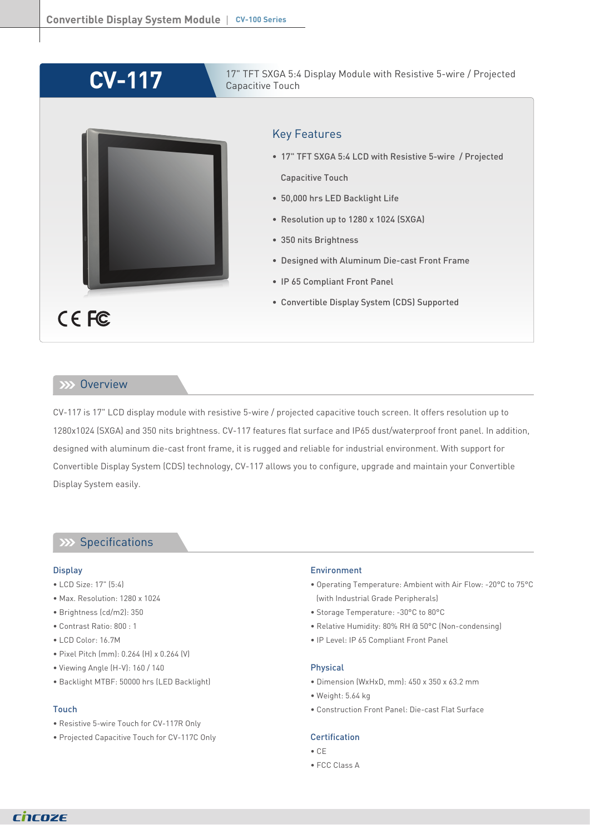# **CV-117**



17" TFT SXGA 5:4 Display Module with Resistive 5-wire / Projected Capacitive Touch

## Key Features

- 17" TFT SXGA 5:4 LCD with Resistive 5-wire / Projected Capacitive Touch
- 50,000 hrs LED Backlight Life
- Resolution up to 1280 x 1024 (SXGA)
- 350 nits Brightness
- Designed with Aluminum Die-cast Front Frame
- IP 65 Compliant Front Panel
- Convertible Display System (CDS) Supported

## **Overview**

CV-117 is 17" LCD display module with resistive 5-wire / projected capacitive touch screen. It offers resolution up to 1280x1024 (SXGA) and 350 nits brightness. CV-117 features flat surface and IP65 dust/waterproof front panel. In addition, designed with aluminum die-cast front frame, it is rugged and reliable for industrial environment. With support for Convertible Display System (CDS) technology, CV-117 allows you to configure, upgrade and maintain your Convertible Display System easily.

## **Specifications**

#### **Display**

- LCD Size: 17" (5:4)
- Max. Resolution: 1280 x 1024
- Brightness (cd/m2): 350
- Contrast Ratio: 800 : 1
- LCD Color: 16.7M
- Pixel Pitch (mm): 0.264 (H) x 0.264 (V)
- Viewing Angle (H-V): 160 / 140
- Backlight MTBF: 50000 hrs (LED Backlight)

#### Touch

- Resistive 5-wire Touch for CV-117R Only
- Projected Capacitive Touch for CV-117C Only

#### Environment

- Operating Temperature: Ambient with Air Flow: -20°C to 75°C (with Industrial Grade Peripherals)
- Storage Temperature: -30°C to 80°C
- Relative Humidity: 80% RH @ 50°C (Non-condensing)
- IP Level: IP 65 Compliant Front Panel

#### Physical

- Dimension (WxHxD, mm): 450 x 350 x 63.2 mm
- Weight: 5.64 kg
- Construction Front Panel: Die-cast Flat Surface

### **Certification**

- CE
- FCC Class A